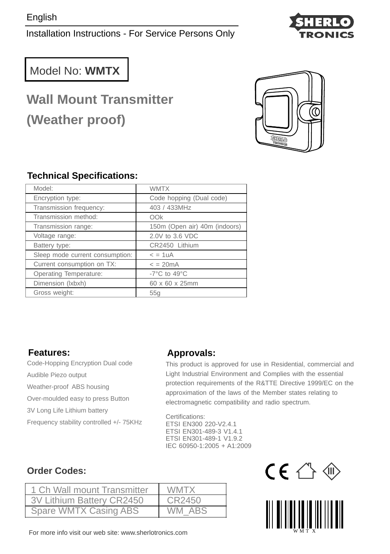Installation Instructions - For Service Persons Only



## Model No: **WMTX**

# **Wall Mount Transmitter (Weather proof)**



### **Technical Specifications:**

| Model:                          | <b>WMTX</b>                        |  |
|---------------------------------|------------------------------------|--|
| Encryption type:                | Code hopping (Dual code)           |  |
| Transmission frequency:         | 403 / 433MHz                       |  |
| Transmission method:            | OOk                                |  |
| Transmission range:             | 150m (Open air) 40m (indoors)      |  |
| Voltage range:                  | 2.0V to 3.6 VDC                    |  |
| Battery type:                   | CR2450 Lithium                     |  |
| Sleep mode current consumption: | $= 1uA$                            |  |
| Current consumption on TX:      | $\epsilon = 20$ mA                 |  |
| <b>Operating Temperature:</b>   | -7 $^{\circ}$ C to 49 $^{\circ}$ C |  |
| Dimension (Ixbxh)               | 60 x 60 x 25mm                     |  |
| Gross weight:                   | 55q                                |  |

#### **Features:**

Code-Hopping Encryption Dual code Audible Piezo output Weather-proof ABS housing Over-moulded easy to press Button 3V Long Life Lithium battery Frequency stability controlled +/- 75KHz

#### **Approvals:**

This product is approved for use in Residential, commercial and Light Industrial Environment and Complies with the essential protection requirements of the R&TTE Directive 1999/EC on the approximation of the laws of the Member states relating to electromagnetic compatibility and radio spectrum.

Certifications: ETSI EN300 220-V2.4.1 ETSI EN301-489-3 V1.4.1 ETSI EN301-489-1 V1.9.2 IEC 60950-1:2005 + A1:2009

### **Order Codes:**

| 1 Ch Wall mount Transmitter | <b>WMTX</b> |
|-----------------------------|-------------|
| 3V Lithium Battery CR2450   | CR2450      |
| Spare WMTX Casing ABS       | WM ABS      |



 $I \in \mathbb{C}$ 

For more info visit our web site: www.sherlotronics.com